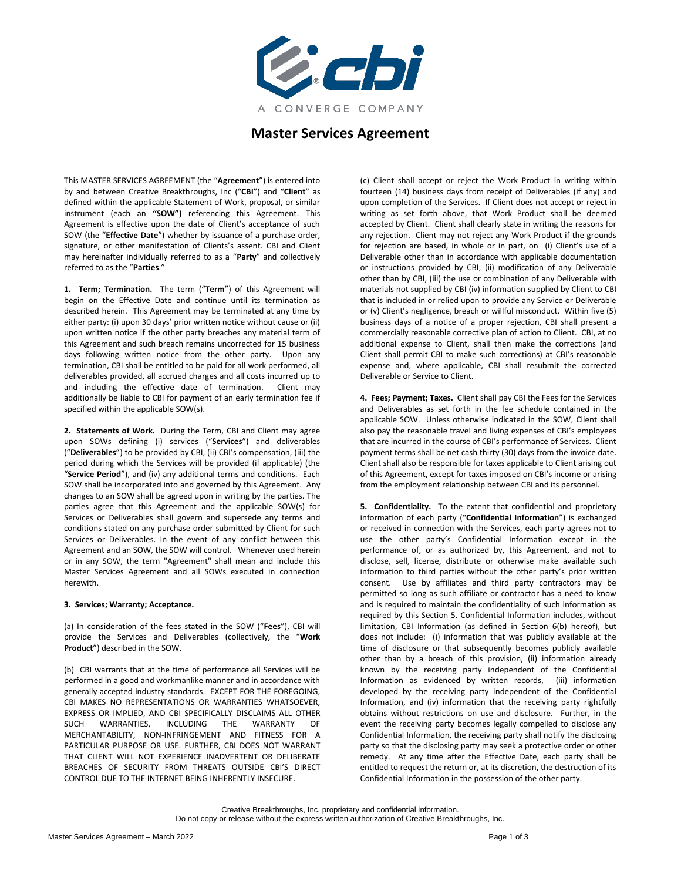

# **Master Services Agreement**

This MASTER SERVICES AGREEMENT (the "**Agreement**") is entered into by and between Creative Breakthroughs, Inc ("**CBI**") and "**Client**" as defined within the applicable Statement of Work, proposal, or similar instrument (each an **"SOW")** referencing this Agreement. This Agreement is effective upon the date of Client's acceptance of such SOW (the "**Effective Date**") whether by issuance of a purchase order, signature, or other manifestation of Clients's assent. CBI and Client may hereinafter individually referred to as a "**Party**" and collectively referred to as the "**Parties**."

**1. Term; Termination.** The term ("**Term**") of this Agreement will begin on the Effective Date and continue until its termination as described herein. This Agreement may be terminated at any time by either party: (i) upon 30 days' prior written notice without cause or (ii) upon written notice if the other party breaches any material term of this Agreement and such breach remains uncorrected for 15 business days following written notice from the other party. Upon any termination, CBI shall be entitled to be paid for all work performed, all deliverables provided, all accrued charges and all costs incurred up to and including the effective date of termination. Client may additionally be liable to CBI for payment of an early termination fee if specified within the applicable SOW(s).

**2. Statements of Work.** During the Term, CBI and Client may agree upon SOWs defining (i) services ("**Services**") and deliverables ("**Deliverables**") to be provided by CBI, (ii) CBI's compensation, (iii) the period during which the Services will be provided (if applicable) (the "**Service Period**"), and (iv) any additional terms and conditions. Each SOW shall be incorporated into and governed by this Agreement. Any changes to an SOW shall be agreed upon in writing by the parties. The parties agree that this Agreement and the applicable SOW(s) for Services or Deliverables shall govern and supersede any terms and conditions stated on any purchase order submitted by Client for such Services or Deliverables. In the event of any conflict between this Agreement and an SOW, the SOW will control. Whenever used herein or in any SOW, the term "Agreement" shall mean and include this Master Services Agreement and all SOWs executed in connection herewith.

## **3. Services; Warranty; Acceptance.**

(a) In consideration of the fees stated in the SOW ("**Fees**"), CBI will provide the Services and Deliverables (collectively, the "**Work Product**") described in the SOW.

(b) CBI warrants that at the time of performance all Services will be performed in a good and workmanlike manner and in accordance with generally accepted industry standards. EXCEPT FOR THE FOREGOING, CBI MAKES NO REPRESENTATIONS OR WARRANTIES WHATSOEVER, EXPRESS OR IMPLIED, AND CBI SPECIFICALLY DISCLAIMS ALL OTHER SUCH WARRANTIES, INCLUDING THE WARRANTY OF MERCHANTABILITY, NON-INFRINGEMENT AND FITNESS FOR A PARTICULAR PURPOSE OR USE. FURTHER, CBI DOES NOT WARRANT THAT CLIENT WILL NOT EXPERIENCE INADVERTENT OR DELIBERATE BREACHES OF SECURITY FROM THREATS OUTSIDE CBI'S DIRECT CONTROL DUE TO THE INTERNET BEING INHERENTLY INSECURE.

(c) Client shall accept or reject the Work Product in writing within fourteen (14) business days from receipt of Deliverables (if any) and upon completion of the Services. If Client does not accept or reject in writing as set forth above, that Work Product shall be deemed accepted by Client. Client shall clearly state in writing the reasons for any rejection. Client may not reject any Work Product if the grounds for rejection are based, in whole or in part, on (i) Client's use of a Deliverable other than in accordance with applicable documentation or instructions provided by CBI, (ii) modification of any Deliverable other than by CBI, (iii) the use or combination of any Deliverable with materials not supplied by CBI (iv) information supplied by Client to CBI that is included in or relied upon to provide any Service or Deliverable or (v) Client's negligence, breach or willful misconduct. Within five (5) business days of a notice of a proper rejection, CBI shall present a commercially reasonable corrective plan of action to Client. CBI, at no additional expense to Client, shall then make the corrections (and Client shall permit CBI to make such corrections) at CBI's reasonable expense and, where applicable, CBI shall resubmit the corrected Deliverable or Service to Client.

**4. Fees; Payment; Taxes.** Client shall pay CBI the Fees for the Services and Deliverables as set forth in the fee schedule contained in the applicable SOW. Unless otherwise indicated in the SOW, Client shall also pay the reasonable travel and living expenses of CBI's employees that are incurred in the course of CBI's performance of Services. Client payment terms shall be net cash thirty (30) days from the invoice date. Client shall also be responsible for taxes applicable to Client arising out of this Agreement, except for taxes imposed on CBI's income or arising from the employment relationship between CBI and its personnel.

**5. Confidentiality.** To the extent that confidential and proprietary information of each party ("**Confidential Information**") is exchanged or received in connection with the Services, each party agrees not to use the other party's Confidential Information except in the performance of, or as authorized by, this Agreement, and not to disclose, sell, license, distribute or otherwise make available such information to third parties without the other party's prior written consent. Use by affiliates and third party contractors may be permitted so long as such affiliate or contractor has a need to know and is required to maintain the confidentiality of such information as required by this Section 5. Confidential Information includes, without limitation, CBI Information (as defined in Section 6(b) hereof), but does not include: (i) information that was publicly available at the time of disclosure or that subsequently becomes publicly available other than by a breach of this provision, (ii) information already known by the receiving party independent of the Confidential Information as evidenced by written records, (iii) information developed by the receiving party independent of the Confidential Information, and (iv) information that the receiving party rightfully obtains without restrictions on use and disclosure. Further, in the event the receiving party becomes legally compelled to disclose any Confidential Information, the receiving party shall notify the disclosing party so that the disclosing party may seek a protective order or other remedy. At any time after the Effective Date, each party shall be entitled to request the return or, at its discretion, the destruction of its Confidential Information in the possession of the other party.

Creative Breakthroughs, Inc. proprietary and confidential information. Do not copy or release without the express written authorization of Creative Breakthroughs, Inc.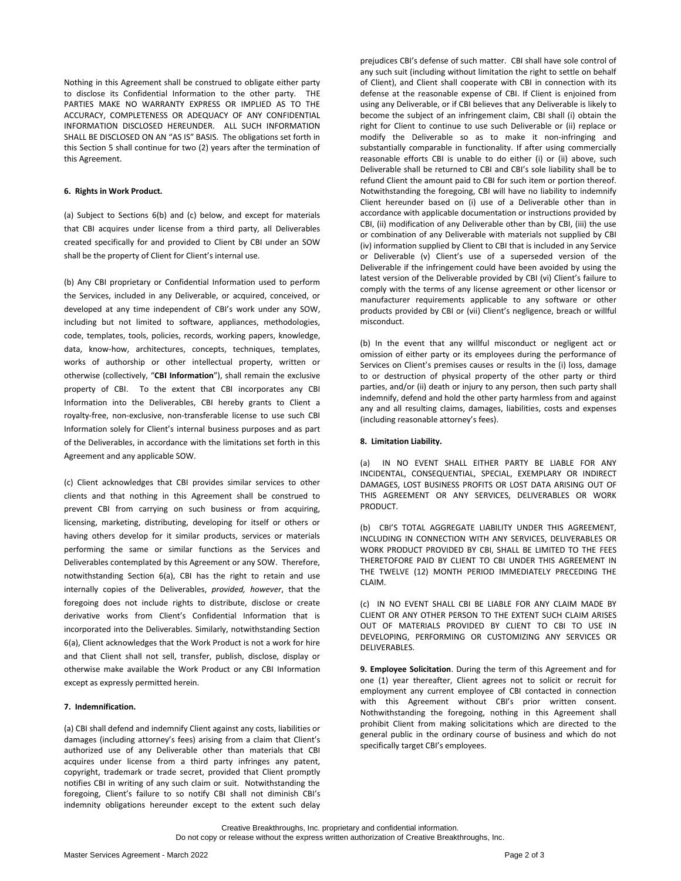Nothing in this Agreement shall be construed to obligate either party to disclose its Confidential Information to the other party. THE PARTIES MAKE NO WARRANTY EXPRESS OR IMPLIED AS TO THE ACCURACY, COMPLETENESS OR ADEQUACY OF ANY CONFIDENTIAL INFORMATION DISCLOSED HEREUNDER. ALL SUCH INFORMATION SHALL BE DISCLOSED ON AN "AS IS" BASIS. The obligations set forth in this Section 5 shall continue for two (2) years after the termination of this Agreement.

## **6. Rights in Work Product.**

(a) Subject to Sections 6(b) and (c) below, and except for materials that CBI acquires under license from a third party, all Deliverables created specifically for and provided to Client by CBI under an SOW shall be the property of Client for Client's internal use.

(b) Any CBI proprietary or Confidential Information used to perform the Services, included in any Deliverable, or acquired, conceived, or developed at any time independent of CBI's work under any SOW, including but not limited to software, appliances, methodologies, code, templates, tools, policies, records, working papers, knowledge, data, know-how, architectures, concepts, techniques, templates, works of authorship or other intellectual property, written or otherwise (collectively, "**CBI Information**"), shall remain the exclusive property of CBI. To the extent that CBI incorporates any CBI Information into the Deliverables, CBI hereby grants to Client a royalty-free, non-exclusive, non-transferable license to use such CBI Information solely for Client's internal business purposes and as part of the Deliverables, in accordance with the limitations set forth in this Agreement and any applicable SOW.

(c) Client acknowledges that CBI provides similar services to other clients and that nothing in this Agreement shall be construed to prevent CBI from carrying on such business or from acquiring, licensing, marketing, distributing, developing for itself or others or having others develop for it similar products, services or materials performing the same or similar functions as the Services and Deliverables contemplated by this Agreement or any SOW. Therefore, notwithstanding Section 6(a), CBI has the right to retain and use internally copies of the Deliverables, *provided, however*, that the foregoing does not include rights to distribute, disclose or create derivative works from Client's Confidential Information that is incorporated into the Deliverables. Similarly, notwithstanding Section 6(a), Client acknowledges that the Work Product is not a work for hire and that Client shall not sell, transfer, publish, disclose, display or otherwise make available the Work Product or any CBI Information except as expressly permitted herein.

## **7. Indemnification.**

(a) CBI shall defend and indemnify Client against any costs, liabilities or damages (including attorney's fees) arising from a claim that Client's authorized use of any Deliverable other than materials that CBI acquires under license from a third party infringes any patent, copyright, trademark or trade secret, provided that Client promptly notifies CBI in writing of any such claim or suit. Notwithstanding the foregoing, Client's failure to so notify CBI shall not diminish CBI's indemnity obligations hereunder except to the extent such delay

prejudices CBI's defense of such matter. CBI shall have sole control of any such suit (including without limitation the right to settle on behalf of Client), and Client shall cooperate with CBI in connection with its defense at the reasonable expense of CBI. If Client is enjoined from using any Deliverable, or if CBI believes that any Deliverable is likely to become the subject of an infringement claim, CBI shall (i) obtain the right for Client to continue to use such Deliverable or (ii) replace or modify the Deliverable so as to make it non-infringing and substantially comparable in functionality. If after using commercially reasonable efforts CBI is unable to do either (i) or (ii) above, such Deliverable shall be returned to CBI and CBI's sole liability shall be to refund Client the amount paid to CBI for such item or portion thereof. Notwithstanding the foregoing, CBI will have no liability to indemnify Client hereunder based on (i) use of a Deliverable other than in accordance with applicable documentation or instructions provided by CBI, (ii) modification of any Deliverable other than by CBI, (iii) the use or combination of any Deliverable with materials not supplied by CBI (iv) information supplied by Client to CBI that is included in any Service or Deliverable (v) Client's use of a superseded version of the Deliverable if the infringement could have been avoided by using the latest version of the Deliverable provided by CBI (vi) Client's failure to comply with the terms of any license agreement or other licensor or manufacturer requirements applicable to any software or other products provided by CBI or (vii) Client's negligence, breach or willful misconduct.

(b) In the event that any willful misconduct or negligent act or omission of either party or its employees during the performance of Services on Client's premises causes or results in the (i) loss, damage to or destruction of physical property of the other party or third parties, and/or (ii) death or injury to any person, then such party shall indemnify, defend and hold the other party harmless from and against any and all resulting claims, damages, liabilities, costs and expenses (including reasonable attorney's fees).

### **8. Limitation Liability.**

(a)IN NO EVENT SHALL EITHER PARTY BE LIABLE FOR ANY INCIDENTAL, CONSEQUENTIAL, SPECIAL, EXEMPLARY OR INDIRECT DAMAGES, LOST BUSINESS PROFITS OR LOST DATA ARISING OUT OF THIS AGREEMENT OR ANY SERVICES, DELIVERABLES OR WORK PRODUCT.

(b) CBI'S TOTAL AGGREGATE LIABILITY UNDER THIS AGREEMENT, INCLUDING IN CONNECTION WITH ANY SERVICES, DELIVERABLES OR WORK PRODUCT PROVIDED BY CBI, SHALL BE LIMITED TO THE FEES THERETOFORE PAID BY CLIENT TO CBI UNDER THIS AGREEMENT IN THE TWELVE (12) MONTH PERIOD IMMEDIATELY PRECEDING THE CLAIM.

(c) IN NO EVENT SHALL CBI BE LIABLE FOR ANY CLAIM MADE BY CLIENT OR ANY OTHER PERSON TO THE EXTENT SUCH CLAIM ARISES OUT OF MATERIALS PROVIDED BY CLIENT TO CBI TO USE IN DEVELOPING, PERFORMING OR CUSTOMIZING ANY SERVICES OR DELIVERABLES.

**9. Employee Solicitation**. During the term of this Agreement and for one (1) year thereafter, Client agrees not to solicit or recruit for employment any current employee of CBI contacted in connection with this Agreement without CBI's prior written consent. Nothwithstanding the foregoing, nothing in this Agreement shall prohibit Client from making solicitations which are directed to the general public in the ordinary course of business and which do not specifically target CBI's employees.

Creative Breakthroughs, Inc. proprietary and confidential information. Do not copy or release without the express written authorization of Creative Breakthroughs, Inc.